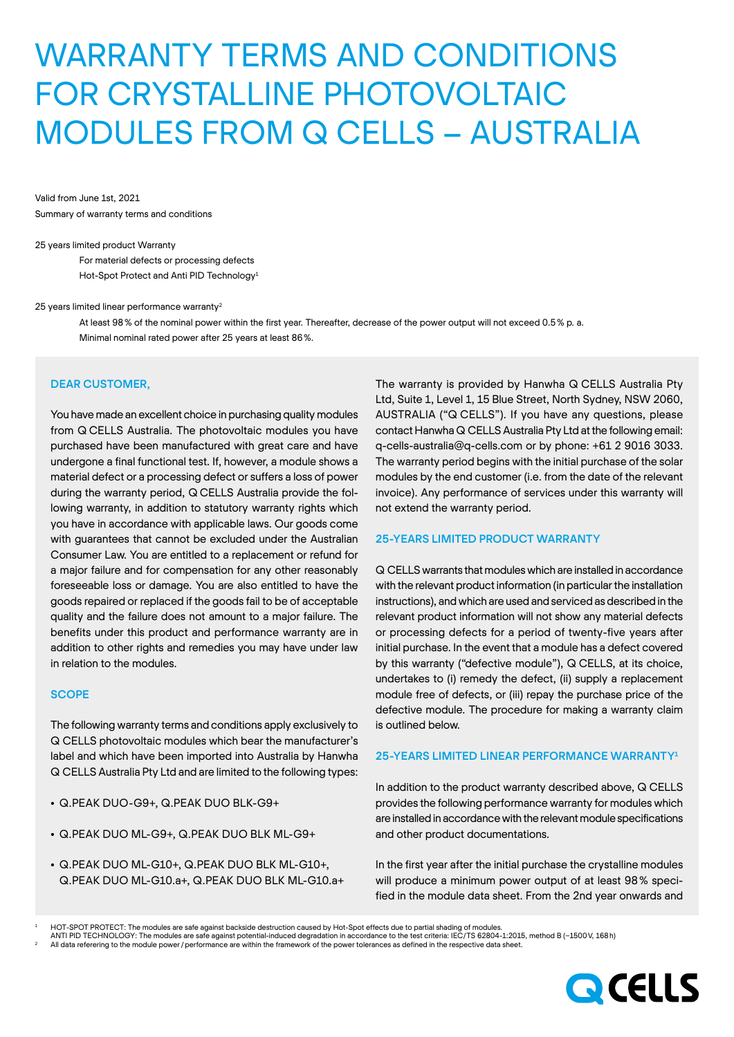# WARRANTY TERMS AND CONDITIONS FOR CRYSTALLINE PHOTOVOLTAIC MODULES FROM Q CELLS – AUSTRALIA

Valid from June 1st, 2021 Summary of warranty terms and conditions

#### 25 years limited product Warranty

For material defects or processing defects Hot-Spot Protect and Anti PID Technology<sup>1</sup>

#### 25 years limited linear performance warranty2

At least 98% of the nominal power within the first year. Thereafter, decrease of the power output will not exceed 0.5% p. a. Minimal nominal rated power after 25 years at least 86%.

## DEAR CUSTOMER,

You have made an excellent choice in purchasing quality modules from Q CELLS Australia. The photovoltaic modules you have purchased have been manufactured with great care and have undergone a final functional test. If, however, a module shows a material defect or a processing defect or suffers a loss of power during the warranty period, Q CELLS Australia provide the following warranty, in addition to statutory warranty rights which you have in accordance with applicable laws. Our goods come with guarantees that cannot be excluded under the Australian Consumer Law. You are entitled to a replacement or refund for a major failure and for compensation for any other reasonably foreseeable loss or damage. You are also entitled to have the goods repaired or replaced if the goods fail to be of acceptable quality and the failure does not amount to a major failure. The benefits under this product and performance warranty are in addition to other rights and remedies you may have under law in relation to the modules.

## **SCOPE**

The following warranty terms and conditions apply exclusively to Q CELLS photovoltaic modules which bear the manufacturer's label and which have been imported into Australia by Hanwha Q CELLS Australia Pty Ltd and are limited to the following types:

- Q.PEAK DUO-G9+, Q.PEAK DUO BLK-G9+
- Q.PEAK DUO ML-G9+, Q.PEAK DUO BLK ML-G9+
- Q.PEAK DUO ML-G10+, Q.PEAK DUO BLK ML-G10+, Q.PEAK DUO ML-G10.a+, Q.PEAK DUO BLK ML-G10.a+

The warranty is provided by Hanwha Q CELLS Australia Pty Ltd, Suite 1, Level 1, 15 Blue Street, North Sydney, NSW 2060, AUSTRALIA ("Q CELLS"). If you have any questions, please contact Hanwha Q CELLS Australia Pty Ltd at the following email: q-cells-australia@q-cells.com or by phone: +61 2 9016 3033. The warranty period begins with the initial purchase of the solar modules by the end customer (i.e. from the date of the relevant invoice). Any performance of services under this warranty will not extend the warranty period.

### 25-YEARS LIMITED PRODUCT WARRANTY

Q CELLS warrants that modules which are installed in accordance with the relevant product information (in particular the installation instructions), and which are used and serviced as described in the relevant product information will not show any material defects or processing defects for a period of twenty-five years after initial purchase. In the event that a module has a defect covered by this warranty ("defective module"), Q CELLS, at its choice, undertakes to (i) remedy the defect, (ii) supply a replacement module free of defects, or (iii) repay the purchase price of the defective module. The procedure for making a warranty claim is outlined below.

#### 25-YEARS LIMITED LINEAR PERFORMANCE WARRANTY1

In addition to the product warranty described above, Q CELLS provides the following performance warranty for modules which are installed in accordance with the relevant module specifications and other product documentations.

In the first year after the initial purchase the crystalline modules will produce a minimum power output of at least 98% specified in the module data sheet. From the 2nd year onwards and



<sup>1</sup> HOT-SPOT PROTECT: The modules are safe against backside destruction caused by Hot-Spot effects due to partial shading of modules.

ANTI PID TECHNOLOGY: The modules are safe against potential-induced degradation in accordance to the test criteria: IEC/TS 62804-1:2015, method B (–1500 V, 168 h)<br>All data referering to the module power / performance are w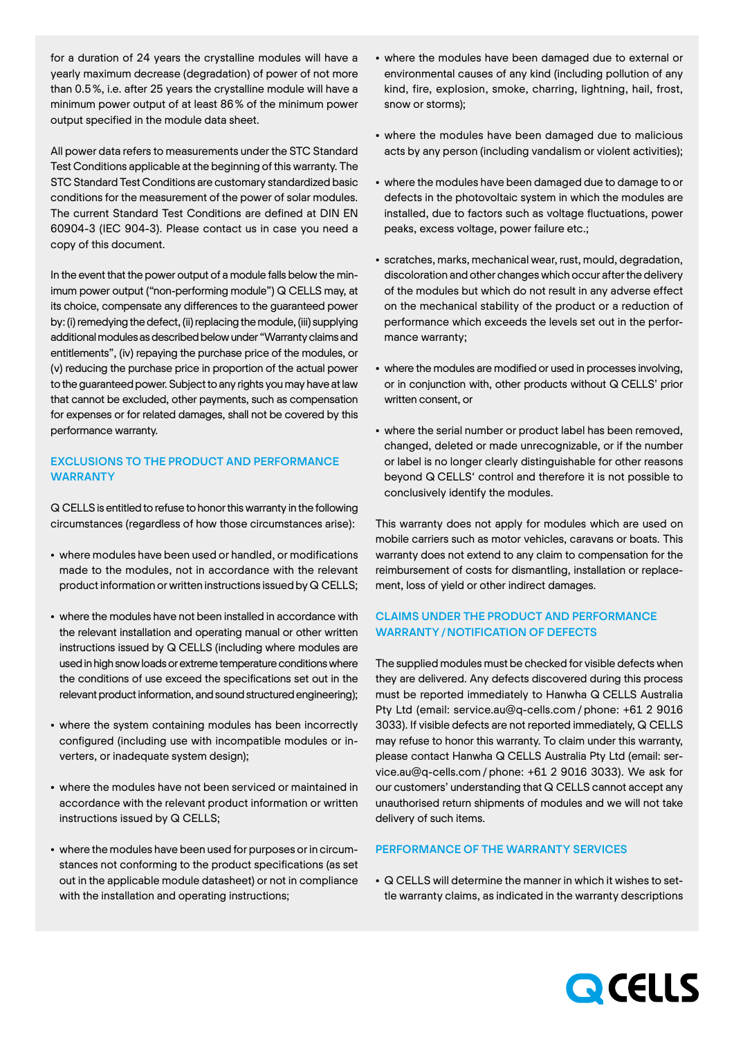for a duration of 24 years the crystalline modules will have a yearly maximum decrease (degradation) of power of not more than 0.5%, i.e. after 25 years the crystalline module will have a minimum power output of at least 86% of the minimum power output specified in the module data sheet.

All power data refers to measurements under the STC Standard Test Conditions applicable at the beginning of this warranty. The STC Standard Test Conditions are customary standardized basic conditions for the measurement of the power of solar modules. The current Standard Test Conditions are defined at DIN EN 60904-3 (IEC 904-3). Please contact us in case you need a copy of this document.

In the event that the power output of a module falls below the minimum power output ("non-performing module") Q CELLS may, at its choice, compensate any differences to the guaranteed power by: (i) remedying the defect, (ii) replacing the module, (iii) supplying additional modules as described below under "Warranty claims and entitlements", (iv) repaying the purchase price of the modules, or (v) reducing the purchase price in proportion of the actual power to the guaranteed power. Subject to any rights you may have at law that cannot be excluded, other payments, such as compensation for expenses or for related damages, shall not be covered by this performance warranty.

# EXCLUSIONS TO THE PRODUCT AND PERFORMANCE WARRANTY

Q CELLS is entitled to refuse to honor this warranty in the following circumstances (regardless of how those circumstances arise):

- where modules have been used or handled, or modifications made to the modules, not in accordance with the relevant product information or written instructions issued by Q CELLS;
- where the modules have not been installed in accordance with the relevant installation and operating manual or other written instructions issued by Q CELLS (including where modules are used in high snow loads or extreme temperature conditions where the conditions of use exceed the specifications set out in the relevant product information, and sound structured engineering);
- where the system containing modules has been incorrectly configured (including use with incompatible modules or inverters, or inadequate system design);
- where the modules have not been serviced or maintained in accordance with the relevant product information or written instructions issued by Q CELLS;
- where the modules have been used for purposes or in circumstances not conforming to the product specifications (as set out in the applicable module datasheet) or not in compliance with the installation and operating instructions;
- where the modules have been damaged due to external or environmental causes of any kind (including pollution of any kind, fire, explosion, smoke, charring, lightning, hail, frost, snow or storms);
- where the modules have been damaged due to malicious acts by any person (including vandalism or violent activities);
- where the modules have been damaged due to damage to or defects in the photovoltaic system in which the modules are installed, due to factors such as voltage fluctuations, power peaks, excess voltage, power failure etc.;
- scratches, marks, mechanical wear, rust, mould, degradation, discoloration and other changes which occur after the delivery of the modules but which do not result in any adverse effect on the mechanical stability of the product or a reduction of performance which exceeds the levels set out in the performance warranty;
- where the modules are modified or used in processes involving, or in conjunction with, other products without Q CELLS' prior written consent, or
- where the serial number or product label has been removed, changed, deleted or made unrecognizable, or if the number or label is no longer clearly distinguishable for other reasons beyond Q CELLS' control and therefore it is not possible to conclusively identify the modules.

This warranty does not apply for modules which are used on mobile carriers such as motor vehicles, caravans or boats. This warranty does not extend to any claim to compensation for the reimbursement of costs for dismantling, installation or replacement, loss of yield or other indirect damages.

# CLAIMS UNDER THE PRODUCT AND PERFORMANCE WARRANTY/NOTIFICATION OF DEFECTS

The supplied modules must be checked for visible defects when they are delivered. Any defects discovered during this process must be reported immediately to Hanwha Q CELLS Australia Pty Ltd (email: service.au@q-cells.com / phone: +61 2 9016 3033). If visible defects are not reported immediately, Q CELLS may refuse to honor this warranty. To claim under this warranty, please contact Hanwha Q CELLS Australia Pty Ltd (email: service.au@q-cells.com /phone: +61 2 9016 3033). We ask for our customers' understanding that Q CELLS cannot accept any unauthorised return shipments of modules and we will not take delivery of such items.

## PERFORMANCE OF THE WARRANTY SERVICES

• Q CELLS will determine the manner in which it wishes to settle warranty claims, as indicated in the warranty descriptions